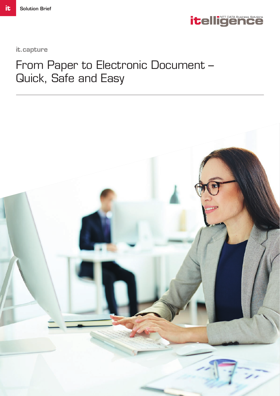

it.capture

# From Paper to Electronic Document – Quick, Safe and Easy

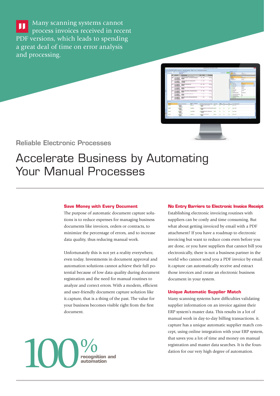Many scanning systems cannot п process invoices received in recent PDF versions, which leads to spending a great deal of time on error analysis and processing.



Reliable Electronic Processes

## Accelerate Business by Automating Your Manual Processes

#### **Save Money with Every Document**

The purpose of automatic document capture solutions is to reduce expenses for managing business documents like invoices, orders or contracts, to minimize the percentage of errors, and to increase data quality, thus reducing manual work.

Unfortunately this is not yet a reality everywhere, even today. Investments in document approval and automation solutions cannot achieve their full potential because of low data quality during document registration and the need for manual routines to analyze and correct errors. With a modern, efficient and user-friendly document capture solution like it.capture, that is a thing of the past. The value for your business becomes visible right from the first document.

#### **No Entry Barriers to Electronic Invoice Receipt**

Establishing electronic invoicing routines with suppliers can be costly and time consuming. But what about getting invoiced by email with a PDF attachment? If you have a roadmap to electronic invoicing but want to reduce costs even before you are done, or you have suppliers that cannot bill you electronically, there is not a business partner in the world who cannot send you a PDF invoice by email. it.capture can automatically receive and extract those invoices and create an electronic business document in your system.

#### **Unique Automatic Supplier Match**

Many scanning systems have difficulties validating supplier information on an invoice against their ERP system's master data. This results in a lot of manual work in day-to-day billing transactions. it. capture has a unique automatic supplier match concept, using online integration with your ERP system, that saves you a lot of time and money on manual registration and master data searches. It is the foundation for our very high degree of automation.

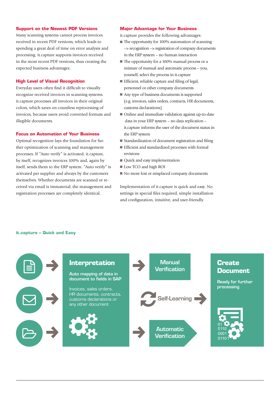#### **Support on the Newest PDF Versions**

Many scanning systems cannot process invoices received in recent PDF versions, which leads to spending a great deal of time on error analysis and processing. it.capture supports invoices received in the most recent PDF versions, thus creating the expected business advantages.

#### **High Level of Visual Recognition**

Everyday users often find it difficult to visually recognize received invoices in scanning systems. it.capture processes all invoices in their original colors, which saves on countless reprocessing of invoices, because users avoid converted formats and illegible documents.

#### **Focus on Automation of Your Business**

Optimal recognition lays the foundation for further optimization of scanning and management processes. If "Auto verify" is activated, it.capture, by itself, recognizes invoices 100% and, again by itself, sends them to the ERP system. "Auto verify" is activated per supplier and always by the customers themselves. Whether documents are scanned or received via email is immaterial; the management and registration processes are completely identical.

#### **Major Advantage for Your Business**

it.capture provides the following advantages:

- The opportunity for 100% automation of scanning --> recognition --> registration of company documents in the ERP system – no human interaction
- The opportunity for a 100% manual process or a mixture of manual and automatic process – you, yourself, select the process in it.capture
- $\blacksquare$  Efficient, reliable capture and filing of legal, personnel or other company documents
- Any type of business documents is supported (e.g. invoices, sales orders, contracts, HR documents, customs declarations)
- Online and immediate validation against up-to-date data in your ERP system – no data replication – it.capture informs the user of the document status in the ERP system
- Standardization of document registration and filing
- Efficient and standardized processes with formal revisions
- Quick and easy implementation
- Low TCO and high ROI
- No more lost or misplaced company documents

Implementation of it.capture is quick and easy. No settings in special files required, simple installation and configuration, intuitive, and user-friendly.

#### **it.capture – Quick and Easy**